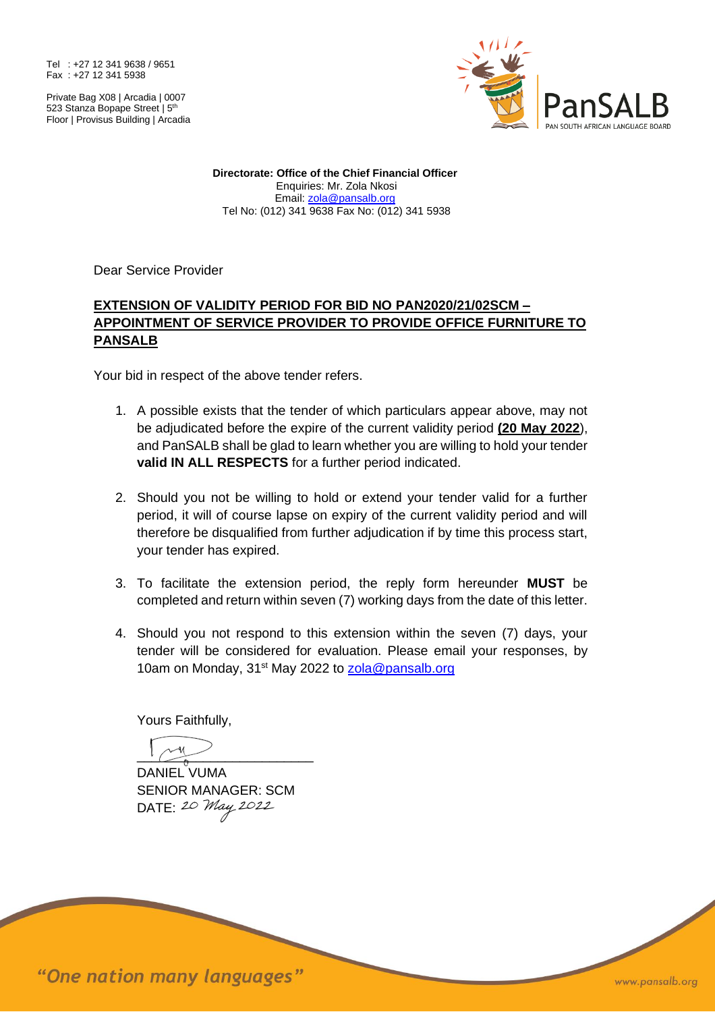Tel : +27 12 341 9638 / 9651 Fax : +27 12 341 5938

Private Bag X08 | Arcadia | 0007 523 Stanza Bopape Street | 5<sup>th</sup> Floor | Provisus Building | Arcadia



**Directorate: Office of the Chief Financial Officer** Enquiries: Mr. Zola Nkosi Email: [zola@pansalb.org](mailto:zola@pansalb.org) Tel No: (012) 341 9638 Fax No: (012) 341 5938

Dear Service Provider

## **EXTENSION OF VALIDITY PERIOD FOR BID NO PAN2020/21/02SCM – APPOINTMENT OF SERVICE PROVIDER TO PROVIDE OFFICE FURNITURE TO PANSALB**

Your bid in respect of the above tender refers.

- 1. A possible exists that the tender of which particulars appear above, may not be adjudicated before the expire of the current validity period **(20 May 2022**), and PanSALB shall be glad to learn whether you are willing to hold your tender **valid IN ALL RESPECTS** for a further period indicated.
- 2. Should you not be willing to hold or extend your tender valid for a further period, it will of course lapse on expiry of the current validity period and will therefore be disqualified from further adjudication if by time this process start, your tender has expired.
- 3. To facilitate the extension period, the reply form hereunder **MUST** be completed and return within seven (7) working days from the date of this letter.
- 4. Should you not respond to this extension within the seven (7) days, your tender will be considered for evaluation. Please email your responses, by 10am on Monday, 31<sup>st</sup> May 2022 to **zola@pansalb.org**

Yours Faithfully,

 $\overline{\phantom{a}}$ 

DANIEL VUMA SENIOR MANAGER: SCM DATE: 20 May 2022

"One nation many languages"